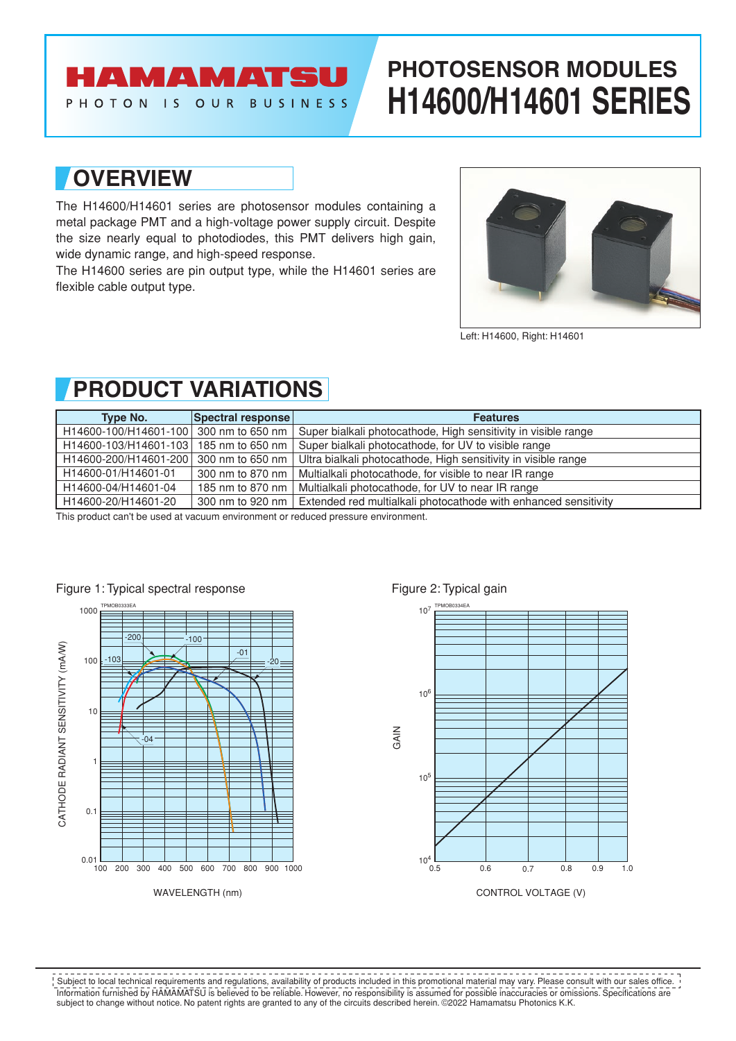# **AMAMATS**

PHOTON IS OUR BUSINESS

# **PHOTOSENSOR MODULES H14600/H14601 SERIES**

### **OVERVIEW**

The H14600/H14601 series are photosensor modules containing a metal package PMT and a high-voltage power supply circuit. Despite the size nearly equal to photodiodes, this PMT delivers high gain, wide dynamic range, and high-speed response.

The H14600 series are pin output type, while the H14601 series are flexible cable output type.



Left: H14600, Right: H14601

## **PRODUCT VARIATIONS**

| Type No.                               | Spectral response | <b>Features</b>                                                                                         |
|----------------------------------------|-------------------|---------------------------------------------------------------------------------------------------------|
| H14600-100/H14601-100 300 nm to 650 nm |                   | Super bialkali photocathode, High sensitivity in visible range                                          |
| H14600-103/H14601-103                  | 185 nm to 650 nm  | Super bialkali photocathode, for UV to visible range                                                    |
|                                        |                   | H14600-200/H14601-200 300 nm to 650 nm   Ultra bialkali photocathode, High sensitivity in visible range |
| H14600-01/H14601-01                    | 300 nm to 870 nm  | Multialkali photocathode, for visible to near IR range                                                  |
| H14600-04/H14601-04                    | 185 nm to 870 nm  | Multialkali photocathode, for UV to near IR range                                                       |
| H14600-20/H14601-20                    |                   | 300 nm to 920 nm   Extended red multialkali photocathode with enhanced sensitivity                      |

This product can't be used at vacuum environment or reduced pressure environment.





Information furnished by HAMAMATSU is believed to be reliable. However, no responsibility is assumed for possible inaccuracies or omissions. Specifications are subject to change without notice. No patent rights are granted to any of the circuits described herein. ©2022 Hamamatsu Photonics K.K. Subject to local technical requirements and regulations, availability of products included in this promotional material may vary. Please consult with our sales office.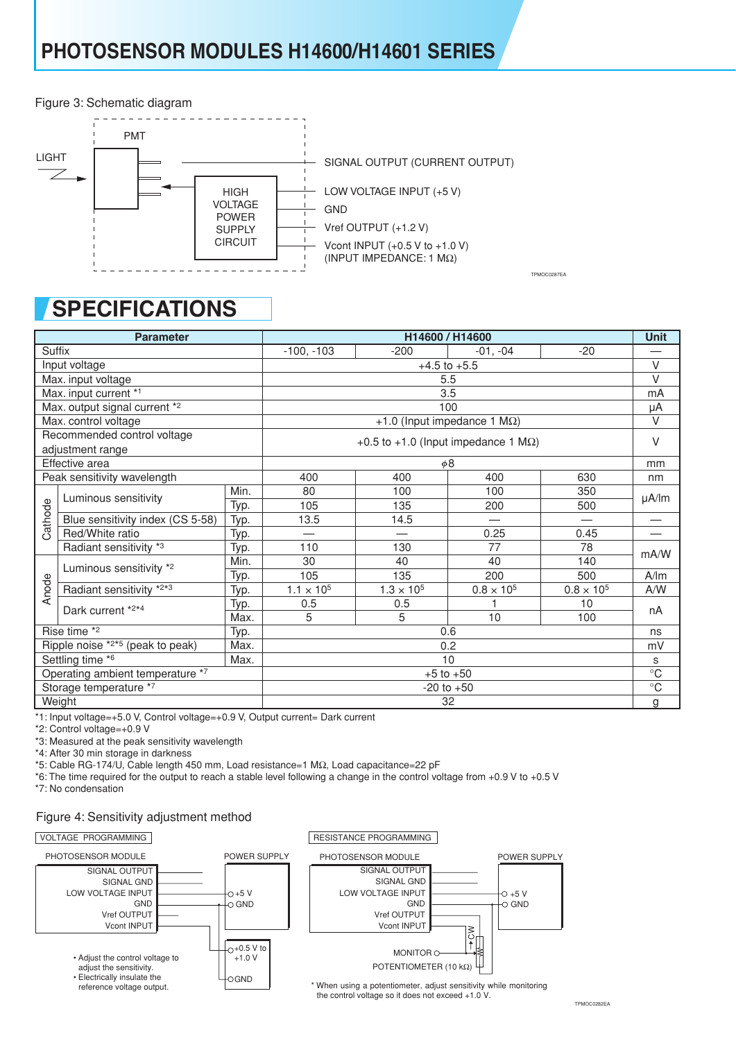Figure 3: Schematic diagram



# **SPECIFICATIONS**

| <b>Parameter</b>                                                                                                              |                                  |              | H14600 / H14600                             |                     |                 |                   |                     |
|-------------------------------------------------------------------------------------------------------------------------------|----------------------------------|--------------|---------------------------------------------|---------------------|-----------------|-------------------|---------------------|
| Suffix                                                                                                                        |                                  | $-100, -103$ | $-200$                                      | $-01, -04$          | $-20$           |                   |                     |
| Input voltage                                                                                                                 |                                  |              | $+4.5$ to $+5.5$                            |                     |                 |                   |                     |
|                                                                                                                               | Max. input voltage               |              | 5.5                                         |                     |                 |                   |                     |
| Max. input current *1                                                                                                         |                                  |              | 3.5                                         |                     |                 |                   |                     |
| Max. output signal current *2                                                                                                 |                                  |              | 100                                         |                     |                 |                   |                     |
| Max. control voltage                                                                                                          |                                  |              | +1.0 (Input impedance 1 $M\Omega$ )         |                     |                 |                   |                     |
| Recommended control voltage                                                                                                   |                                  |              |                                             |                     |                 |                   |                     |
|                                                                                                                               | adjustment range                 |              | +0.5 to +1.0 (Input impedance 1 $M\Omega$ ) |                     |                 |                   |                     |
|                                                                                                                               | Effective area                   |              | $\phi$ 8                                    |                     |                 |                   |                     |
|                                                                                                                               | Peak sensitivity wavelength      |              | 400                                         | 400                 | 400             | 630               | nm                  |
|                                                                                                                               | Luminous sensitivity             | Min.         | 80                                          | 100                 | 100             | 350               | $\mu A / \text{Im}$ |
|                                                                                                                               |                                  | Typ.         | 105                                         | 135                 | 200             | 500               |                     |
| Cathode                                                                                                                       | Blue sensitivity index (CS 5-58) | Typ.         | 13.5                                        | 14.5                |                 |                   |                     |
|                                                                                                                               | Red/White ratio                  | Typ.         |                                             |                     | 0.25            | 0.45              |                     |
|                                                                                                                               | Radiant sensitivity *3           | Typ.         | 110                                         | 130                 | 77              | 78                | mA/W                |
| Anode                                                                                                                         | Luminous sensitivity *2          | Min.         | 30                                          | 40                  | 40              | 140               |                     |
|                                                                                                                               |                                  | Typ.         | 105                                         | 135                 | 200             | 500               | A/m                 |
|                                                                                                                               | Radiant sensitivity *2*3         | Typ.         | $1.1 \times 10^{5}$                         | $1.3 \times 10^{5}$ | $0.8\times10^5$ | $0.8 \times 10^5$ | A/W                 |
|                                                                                                                               | Dark current *2*4                | Typ.         | 0.5                                         | 0.5                 | 1               | 10                | nA                  |
|                                                                                                                               |                                  | Max.         | 5                                           | 5                   | 10              | 100               |                     |
|                                                                                                                               | Rise time *2                     | Typ.         |                                             |                     | 0.6             |                   | ns                  |
| Ripple noise $*2*5$ (peak to peak)<br>Max.                                                                                    |                                  |              | 0.2                                         |                     |                 |                   | mV                  |
| Settling time *6<br>Max.                                                                                                      |                                  |              | 10                                          |                     |                 |                   |                     |
| Operating ambient temperature *7                                                                                              |                                  |              | $+5$ to $+50$                               |                     |                 |                   |                     |
| Storage temperature *7                                                                                                        |                                  |              | $-20$ to $+50$                              |                     |                 |                   |                     |
| Weight                                                                                                                        |                                  |              | 32                                          |                     |                 |                   | g                   |
| *1: Input voltage=+5.0 V, Control voltage=+0.9 V, Output current= Dark current                                                |                                  |              |                                             |                     |                 |                   |                     |
| *2: Control voltage=+0.9 V                                                                                                    |                                  |              |                                             |                     |                 |                   |                     |
| *3: Measured at the peak sensitivity wavelength                                                                               |                                  |              |                                             |                     |                 |                   |                     |
| *4: After 30 min storage in darkness<br>*5: Cable RG-174/U, Cable length 450 mm, Load resistance=1 MΩ, Load capacitance=22 pF |                                  |              |                                             |                     |                 |                   |                     |
| *6: The time required for the output to reach a stable level following a change in the control voltage from +0.9 V to +0.5 V  |                                  |              |                                             |                     |                 |                   |                     |
| *7: No condensation                                                                                                           |                                  |              |                                             |                     |                 |                   |                     |

#### Figure 4: Sensitivity adjustment method



TPMOC0282EA

TPMOC0287EA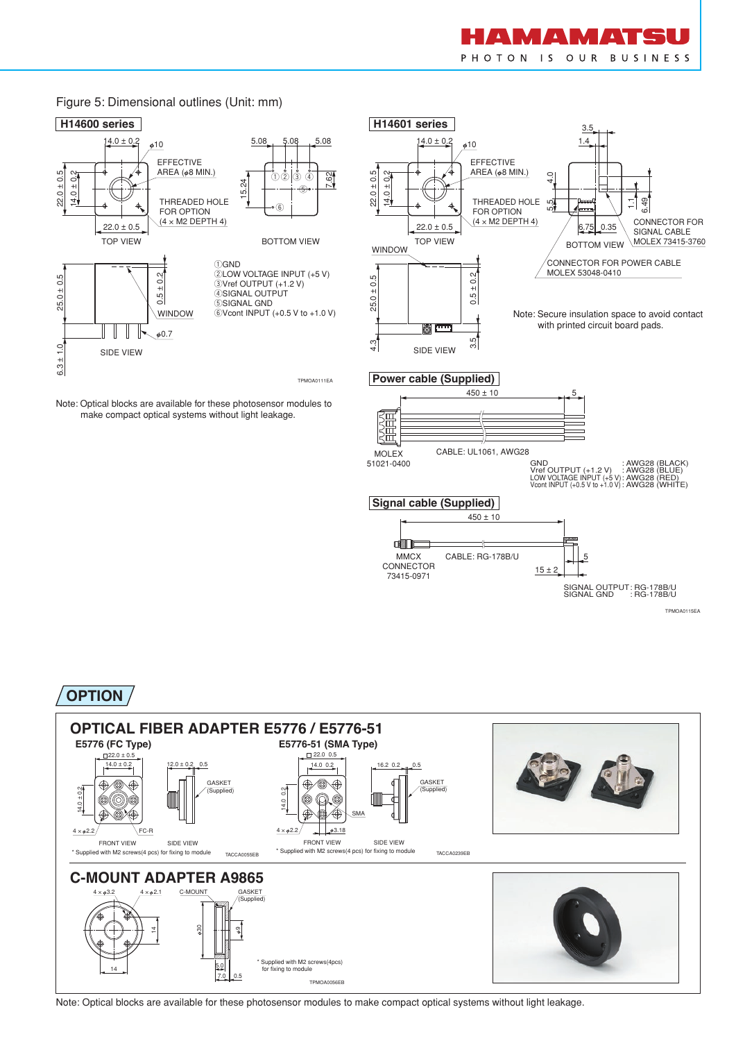

TPMOA0115EA

SIGNAL OUTPUT SIGNAL GND : RG-178B/U : RG-178B/U

5

 $15 \pm 2$ 



CONNECTOR 73415-0971

### **OPTION**



Note: Optical blocks are available for these photosensor modules to make compact optical systems without light leakage.